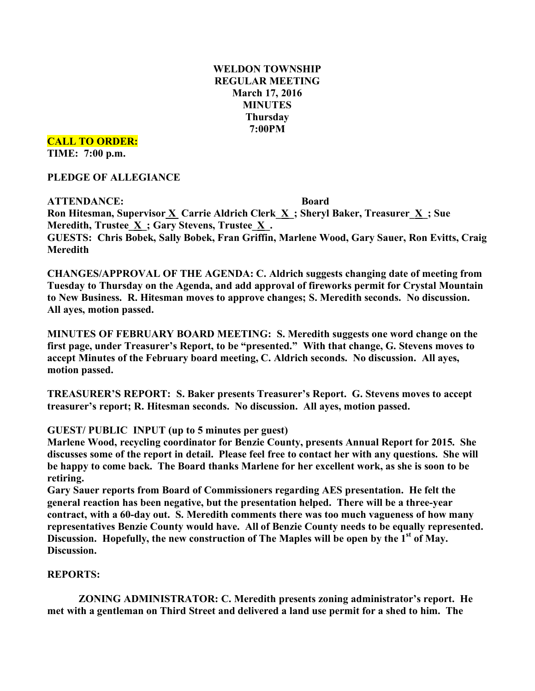# **WELDON TOWNSHIP REGULAR MEETING March 17, 2016 MINUTES Thursday 7:00PM**

### **CALL TO ORDER:**

**TIME: 7:00 p.m.**

### **PLEDGE OF ALLEGIANCE**

**ATTENDANCE: Board Ron Hitesman, Supervisor X Carrie Aldrich Clerk\_X\_; Sheryl Baker, Treasurer\_X\_; Sue Meredith, Trustee**  $\underline{X}$ **; Gary Stevens, Trustee**  $\underline{X}$ **. GUESTS: Chris Bobek, Sally Bobek, Fran Griffin, Marlene Wood, Gary Sauer, Ron Evitts, Craig Meredith**

**CHANGES/APPROVAL OF THE AGENDA: C. Aldrich suggests changing date of meeting from Tuesday to Thursday on the Agenda, and add approval of fireworks permit for Crystal Mountain to New Business. R. Hitesman moves to approve changes; S. Meredith seconds. No discussion. All ayes, motion passed.**

**MINUTES OF FEBRUARY BOARD MEETING: S. Meredith suggests one word change on the first page, under Treasurer's Report, to be "presented." With that change, G. Stevens moves to accept Minutes of the February board meeting, C. Aldrich seconds. No discussion. All ayes, motion passed.**

**TREASURER'S REPORT: S. Baker presents Treasurer's Report. G. Stevens moves to accept treasurer's report; R. Hitesman seconds. No discussion. All ayes, motion passed.**

### **GUEST/ PUBLIC INPUT (up to 5 minutes per guest)**

**Marlene Wood, recycling coordinator for Benzie County, presents Annual Report for 2015. She** discusses some of the report in detail. Please feel free to contact her with any questions. She will **be happy to come back. The Board thanks Marlene for her excellent work, as she is soon to be retiring.**

**Gary Sauer reports from Board of Commissioners regarding AES presentation. He felt the general reaction has been negative, but the presentation helped. There will be a three-year contract, with a 60-day out. S. Meredith comments there was too much vagueness of how many representatives Benzie County would have. All of Benzie County needs to be equally represented. Discussion. Hopefully, the new construction of The Maples will be open by the 1st of May. Discussion.**

### **REPORTS:**

**ZONING ADMINISTRATOR: C. Meredith presents zoning administrator's report. He met with a gentleman on Third Street and delivered a land use permit for a shed to him. The**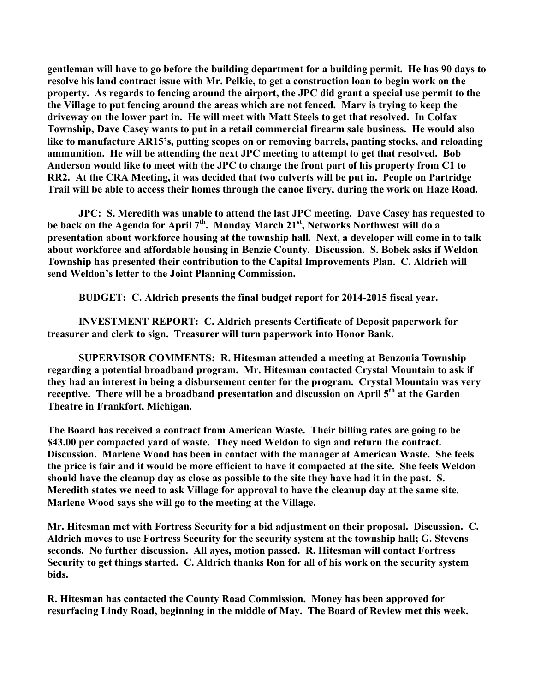**gentleman will have to go before the building department for a building permit. He has 90 days to resolve his land contract issue with Mr. Pelkie, to get a construction loan to begin work on the property. As regards to fencing around the airport, the JPC did grant a special use permit to the the Village to put fencing around the areas which are not fenced. Marv is trying to keep the driveway on the lower part in. He will meet with Matt Steels to get that resolved. In Colfax Township, Dave Casey wants to put in a retail commercial firearm sale business. He would also like to manufacture AR15's, putting scopes on or removing barrels, panting stocks, and reloading ammunition. He will be attending the next JPC meeting to attempt to get that resolved. Bob Anderson would like to meet with the JPC to change the front part of his property from C1 to RR2. At the CRA Meeting, it was decided that two culverts will be put in. People on Partridge Trail will be able to access their homes through the canoe livery, during the work on Haze Road.**

**JPC: S. Meredith was unable to attend the last JPC meeting. Dave Casey has requested to be back on the Agenda for April 7th. Monday March 21st , Networks Northwest will do a presentation about workforce housing at the township hall. Next, a developer will come in to talk about workforce and affordable housing in Benzie County. Discussion. S. Bobek asks if Weldon Township has presented their contribution to the Capital Improvements Plan. C. Aldrich will send Weldon's letter to the Joint Planning Commission.**

**BUDGET: C. Aldrich presents the final budget report for 2014-2015 fiscal year.**

**INVESTMENT REPORT: C. Aldrich presents Certificate of Deposit paperwork for treasurer and clerk to sign. Treasurer will turn paperwork into Honor Bank.**

**SUPERVISOR COMMENTS: R. Hitesman attended a meeting at Benzonia Township regarding a potential broadband program. Mr. Hitesman contacted Crystal Mountain to ask if they had an interest in being a disbursement center for the program. Crystal Mountain was very receptive. There will be a broadband presentation and discussion on April 5th at the Garden Theatre in Frankfort, Michigan.**

**The Board has received a contract from American Waste. Their billing rates are going to be \$43.00 per compacted yard of waste. They need Weldon to sign and return the contract. Discussion. Marlene Wood has been in contact with the manager at American Waste. She feels** the price is fair and it would be more efficient to have it compacted at the site. She feels Weldon **should have the cleanup day as close as possible to the site they have had it in the past. S. Meredith states we need to ask Village for approval to have the cleanup day at the same site. Marlene Wood says she will go to the meeting at the Village.**

**Mr. Hitesman met with Fortress Security for a bid adjustment on their proposal. Discussion. C. Aldrich moves to use Fortress Security for the security system at the township hall; G. Stevens seconds. No further discussion. All ayes, motion passed. R. Hitesman will contact Fortress Security to get things started. C. Aldrich thanks Ron for all of his work on the security system bids.**

**R. Hitesman has contacted the County Road Commission. Money has been approved for resurfacing Lindy Road, beginning in the middle of May. The Board of Review met this week.**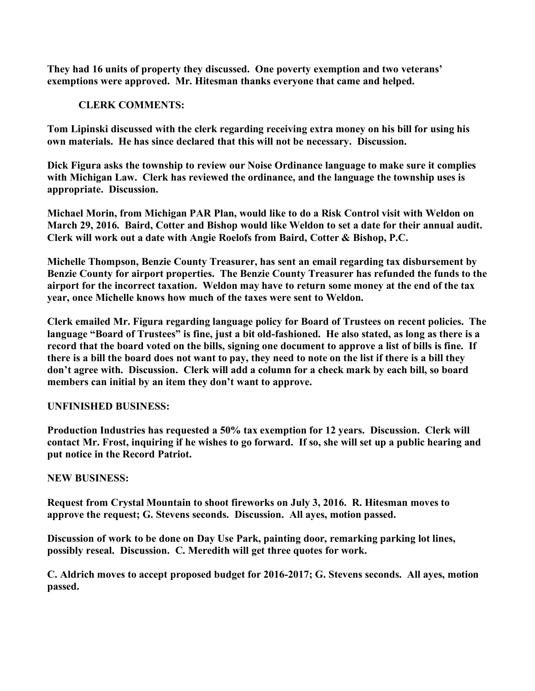**They had 16 units of property they discussed. One poverty exemption and two veterans' exemptions were approved. Mr. Hitesman thanks everyone that came and helped.**

# **CLERK COMMENTS:**

**Tom Lipinski discussed with the clerk regarding receiving extra money on his bill for using his own materials. He has since declared that this will not be necessary. Discussion.**

**Dick Figura asks the township to review our Noise Ordinance language to make sure it complies with Michigan Law. Clerk has reviewed the ordinance, and the language the township uses is appropriate. Discussion.**

**Michael Morin, from Michigan PAR Plan, would like to do a Risk Control visit with Weldon on March 29, 2016. Baird, Cotter and Bishop would like Weldon to set a date for their annual audit. Clerk will work out a date with Angie Roelofs from Baird, Cotter & Bishop, P.C.**

**Michelle Thompson, Benzie County Treasurer, has sent an email regarding tax disbursement by Benzie County for airport properties. The Benzie County Treasurer has refunded the funds to the airport for the incorrect taxation. Weldon may have to return some money at the end of the tax year, once Michelle knows how much of the taxes were sent to Weldon.**

**Clerk emailed Mr. Figura regarding language policy for Board of Trustees on recent policies. The language "Board of Trustees" is fine, just a bit old-fashioned. He also stated, as long as there is a**  record that the board voted on the bills, signing one document to approve a list of bills is fine. If there is a bill the board does not want to pay, they need to note on the list if there is a bill they **don't agree with. Discussion. Clerk will add a column for a check mark by each bill, so board members can initial by an item they don't want to approve.**

### **UNFINISHED BUSINESS:**

**Production Industries has requested a 50% tax exemption for 12 years. Discussion. Clerk will contact Mr. Frost, inquiring if he wishes to go forward. If so, she will set up a public hearing and put notice in the Record Patriot.**

### **NEW BUSINESS:**

**Request from Crystal Mountain to shoot fireworks on July 3, 2016. R. Hitesman moves to approve the request; G. Stevens seconds. Discussion. All ayes, motion passed.**

**Discussion of work to be done on Day Use Park, painting door, remarking parking lot lines, possibly reseal. Discussion. C. Meredith will get three quotes for work.**

**C. Aldrich moves to accept proposed budget for 2016-2017; G. Stevens seconds. All ayes, motion passed.**